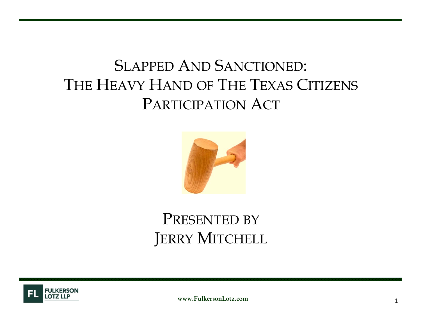### SLAPPED AND SANCTIONED: THE HEAVY HAND OF THE TEXAS CITIZENS PARTICIPATION ACT



### PRESENTED BY JERRY MITCHELL



www.FulkersonLotz.com $\mathbf{m}$  and  $\mathbf{m}$  and  $\mathbf{m}$  and  $\mathbf{m}$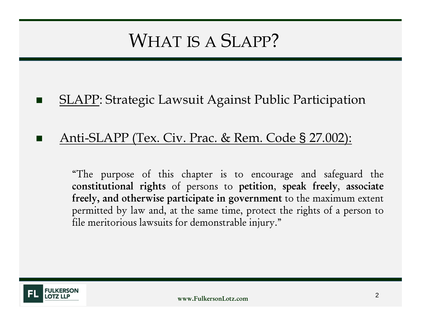# WHAT IS A SLAPP?

 $\mathbf{r}$ SLAPP: Strategic Lawsuit Against Public Participation

#### $\blacksquare$ Anti-SLAPP (Tex. Civ. Prac. & Rem. Code § 27.002):

"The purpose of this chapter is to encourage and safeguard the constitutional rights of persons to petition, speak freely, associate freely, and otherwise participate in governmen<sup>t</sup> to the maximum extent permitted by law and, at the same time, protect the rights of <sup>a</sup> person to file meritorious lawsuits for demonstrable injury."

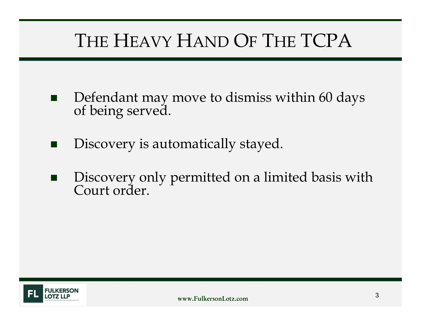- $\blacksquare$ Defendant may move to dismiss within 60 days of being served.
- $\blacksquare$ Discovery is automatically stayed.
- $\blacksquare$ Discovery only permitted on a limited basis with Court order.

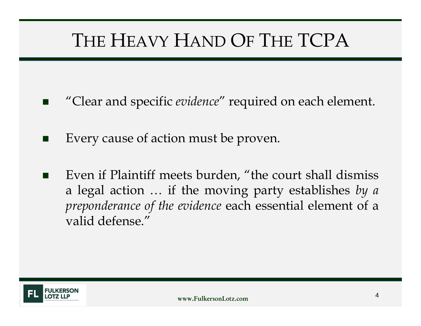- $\blacksquare$ "Clear and specific *evidence*" required on each element.
- × Every cause of action must be proven.
- п Even if Plaintiff meets burden, "the court shall dismiss <sup>a</sup> legal action … if the moving party establishes *by <sup>a</sup> preponderance of the evidence* each essential element of <sup>a</sup> valid defense."

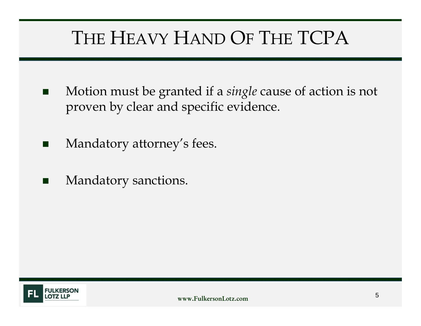- $\blacksquare$  Motion must be granted if a *single* cause of action is not proven by clear and specific evidence.
- n. Mandatory attorney's fees.
- $\blacksquare$ Mandatory sanctions.

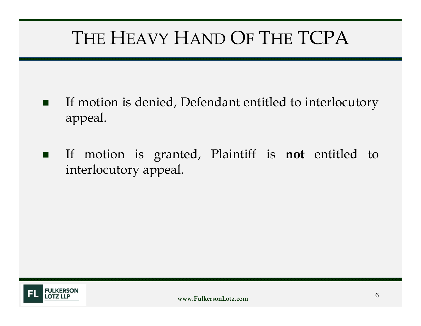- $\blacksquare$  If motion is denied, Defendant entitled to interlocutory appeal.
- $\blacksquare$  If motion is granted, Plaintiff is **not** entitled to interlocutory appeal.

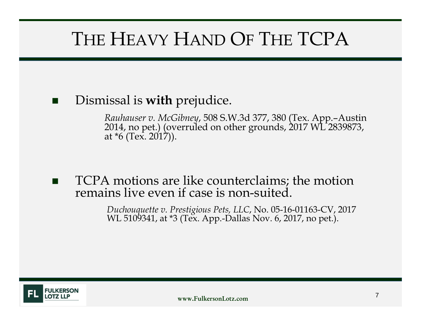#### × Dismissal is **with** prejudice.

*Rauhauser v. McGibney*, 508 S.W.3d 377, 380 (Tex. App.–Austin 2014, no pet.) (overruled on other grounds, 2017 WL 2839873, at \*6 (Tex. 2017)).

× TCPA motions are like counterclaims; the motion remains live even if case is non-suited.

*Duchouquette v. Prestigious Pets, LLC*, No. 05-16-01163-CV, 2017 WL 5109341, at \*3 (Tex. App.-Dallas Nov. 6, 2017, no pet.).

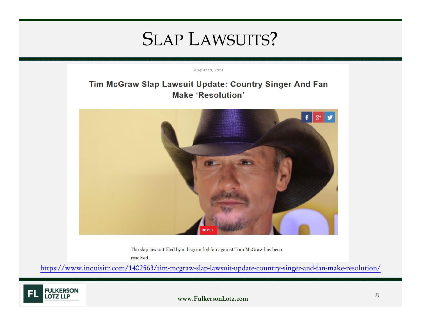August 10, 2014

#### Tim McGraw Slap Lawsuit Update: Country Singer And Fan **Make 'Resolution'**



The slap lawsuit filed by a disgruntled fan against Tom McGraw has been resolved.

https://www.inquisitr.com/1402563/tim-mcgraw-slap-lawsuit-update-country-singer-and-fan-make-resolution/

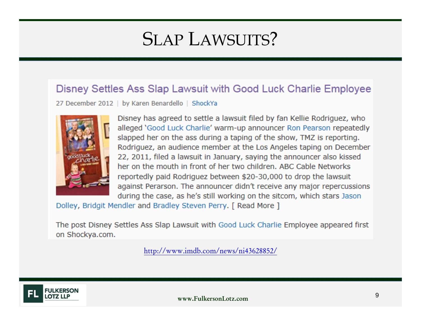#### Disney Settles Ass Slap Lawsuit with Good Luck Charlie Employee

27 December 2012 | by Karen Benardello | ShockYa



Disney has agreed to settle a lawsuit filed by fan Kellie Rodriguez, who alleged 'Good Luck Charlie' warm-up announcer Ron Pearson repeatedly slapped her on the ass during a taping of the show, TMZ is reporting. Rodriguez, an audience member at the Los Angeles taping on December 22, 2011, filed a lawsuit in January, saying the announcer also kissed her on the mouth in front of her two children. ABC Cable Networks reportedly paid Rodriguez between \$20-30,000 to drop the lawsuit against Perarson. The announcer didn't receive any major repercussions during the case, as he's still working on the sitcom, which stars Jason

Dolley, Bridgit Mendler and Bradley Steven Perry. [ Read More ]

The post Disney Settles Ass Slap Lawsuit with Good Luck Charlie Employee appeared first on Shockya.com.

http://www.imdb.com/news/ni43628852/

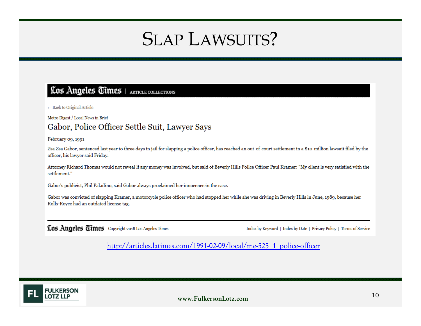#### Los Angeles Times | ARTICLE COLLECTIONS

← Back to Original Article

Metro Digest / Local News in Brief

#### Gabor, Police Officer Settle Suit, Lawyer Says

February 09, 1991

Zsa Zsa Gabor, sentenced last year to three days in jail for slapping a police officer, has reached an out-of-court settlement in a \$10-million lawsuit filed by the officer, his lawyer said Friday.

Attorney Richard Thomas would not reveal if any money was involved, but said of Beverly Hills Police Officer Paul Kramer: "My client is very satisfied with the settlement."

Gabor's publicist, Phil Paladino, said Gabor always proclaimed her innocence in the case.

Gabor was convicted of slapping Kramer, a motorcycle police officer who had stopped her while she was driving in Beverly Hills in June, 1989, because her Rolls-Royce had an outdated license tag.

Los Angeles Times Copyright 2018 Los Angeles Times

Index by Keyword | Index by Date | Privacy Policy | Terms of Service

http://articles.latimes.com/1991-02-09/local/me-525\_1\_police-officer

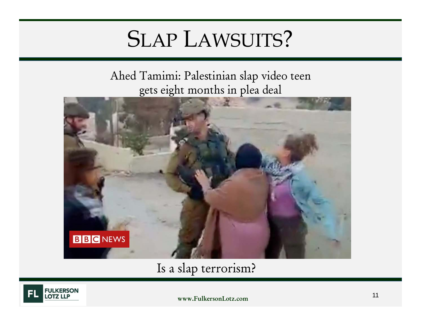Ahed Tamimi: Palestinian slap video teen gets eight months in plea deal



Is a slap terrorism?

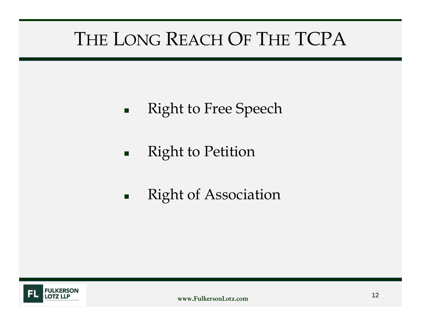- $\blacksquare$ Right to Free Speech
- $\blacksquare$ Right to Petition
- $\blacksquare$ Right of Association

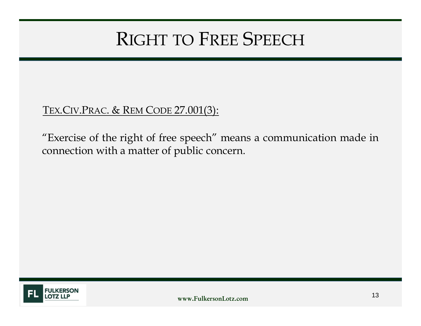# RIGHT TO FREE SPEECH

#### TEX.CIV.PRAC. & REM CODE 27.001(3):

"Exercise of the right of free speech" means <sup>a</sup> communication made in connection with <sup>a</sup> matter of public concern.

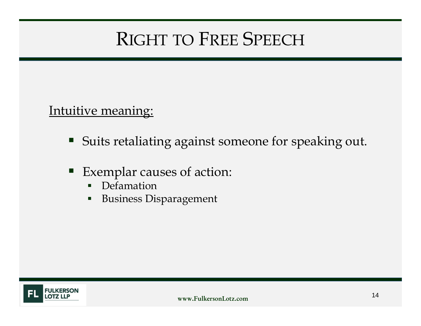# RIGHT TO FREE SPEECH

#### Intuitive meaning:

- $\blacksquare$ Suits retaliating against someone for speaking out.
- Exemplar causes of action:
	- Defamation
	- $\blacksquare$ Business Disparagement

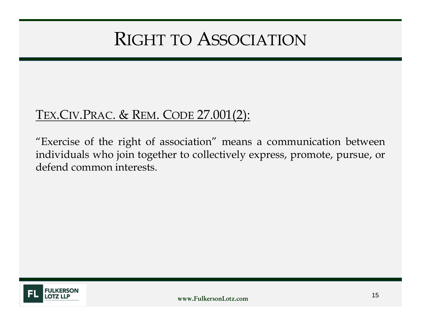## RIGHT TO ASSOCIATION

### TEX.CIV.PRAC. & REM. CODE 27.001(2):

"Exercise of the right of association" means <sup>a</sup> communication between individuals who join together to collectively express, promote, pursue, or defend common interests.

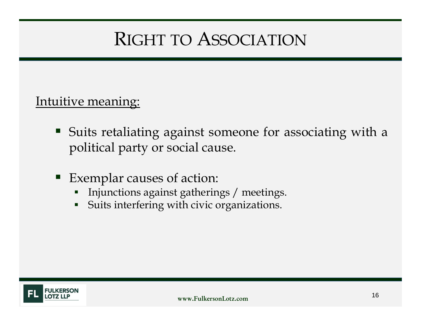# RIGHT TO ASSOCIATION

#### Intuitive meaning:

- Suits retaliating against someone for associating with <sup>a</sup> political party or social cause.
- Exemplar causes of action:
	- Injunctions against gatherings / meetings.
	- $\blacksquare$ Suits interfering with civic organizations.

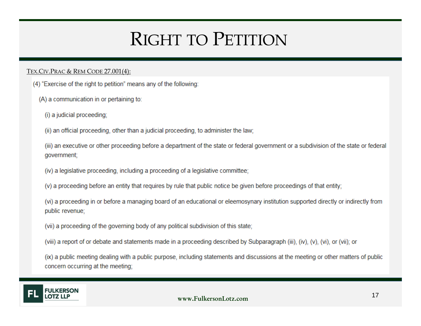# RIGHT TO PETITION

#### <u>Tex.Civ.Prac & Rem Code 27.001(4):</u>

- (4) "Exercise of the right to petition" means any of the following:
	- (A) a communication in or pertaining to:
		- (i) a judicial proceeding;

(ii) an official proceeding, other than a judicial proceeding, to administer the law;

(iii) an executive or other proceeding before a department of the state or federal government or a subdivision of the state or federal government;

- (iv) a legislative proceeding, including a proceeding of a legislative committee;
- (v) a proceeding before an entity that requires by rule that public notice be given before proceedings of that entity;

(vi) a proceeding in or before a managing board of an educational or eleemosynary institution supported directly or indirectly from public revenue;

- (vii) a proceeding of the governing body of any political subdivision of this state;
- (viii) a report of or debate and statements made in a proceeding described by Subparagraph (iii), (iv), (v), (vi), or (vii); or

(ix) a public meeting dealing with a public purpose, including statements and discussions at the meeting or other matters of public concern occurring at the meeting;

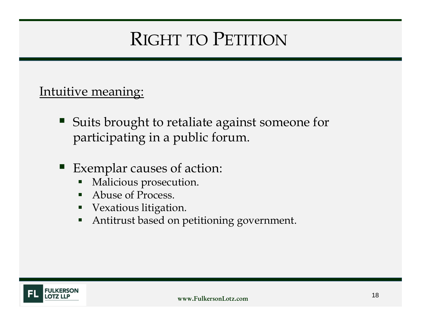# RIGHT TO PETITION

#### Intuitive meaning:

- Suits brought to retaliate against someone for participating in a public forum.
- Exemplar causes of action:
	- Malicious prosecution.
	- $\blacksquare$ Abuse of Process.
	- $\blacksquare$ Vexatious litigation.
	- $\blacksquare$ Antitrust based on petitioning government.

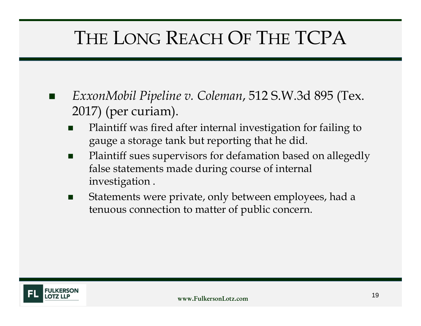- × *ExxonMobil Pipeline v. Coleman*, 512 S.W.3d 895 (Tex. 2017) (per curiam).
	- п Plaintiff was fired after internal investigation for failing to gauge a storage tank but reporting that he did.
	- $\blacksquare$  Plaintiff sues supervisors for defamation based on allegedly false statements made during course of internal investigation .
	- $\mathcal{L}_{\mathcal{A}}$  Statements were private, only between employees, had a tenuous connection to matter of public concern.

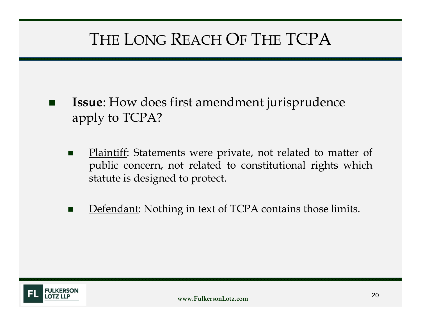- × **Issue**: How does first amendment jurisprudence apply to TCPA?
	- $\blacksquare$  Plaintiff: Statements were private, not related to matter of public concern, not related to constitutional rights which statute is designed to protect.
	- $\blacksquare$ Defendant: Nothing in text of TCPA contains those limits.

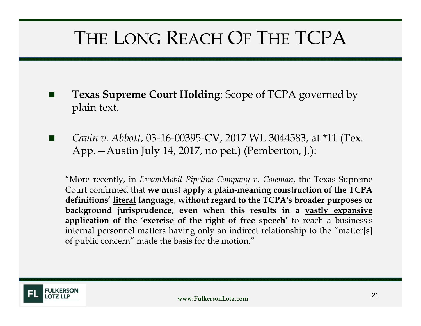- × **Texas Supreme Court Holding**: Scope of TCPA governed by plain text.
- *Cavin v. Abbott*, 03-16-00395-CV, 2017 WL 3044583, at \*11 (Tex. App.—Austin July 14, 2017, no pet.) (Pemberton, J.):

"More recently, in *ExxonMobil Pipeline Company v. Coleman*, the Texas Supreme Court confirmed that **we must apply <sup>a</sup> plain-meaning construction of the TCPA definitions**' **literal language**, **without regard to the TCPA's broader purposes or background jurisprudence**, **even when this results in <sup>a</sup> vastly expansive application of the** '**exercise of the right of free speech'** to reach <sup>a</sup> business's internal personnel matters having only an indirect relationship to the "matter[s] of public concern" made the basis for the motion."

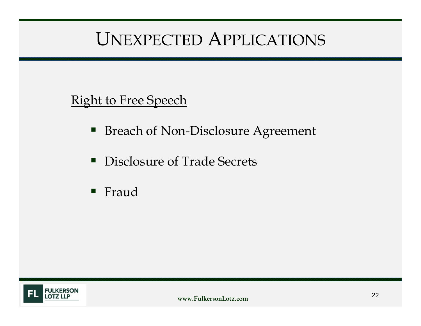# UNEXPECTED APPLICATIONS

### Right to Free Speech

- Breach of Non-Disclosure Agreement
- $\blacksquare$ Disclosure of Trade Secrets
- $\blacksquare$ Fraud

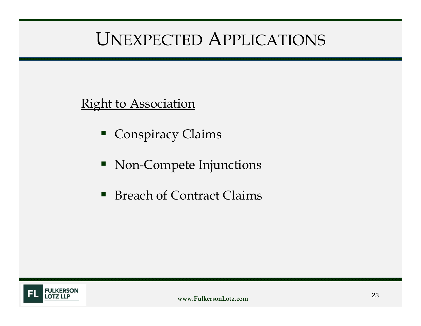# UNEXPECTED APPLICATIONS

### Right to Association

- Conspiracy Claims
- Non-Compete Injunctions
- $\blacksquare$ Breach of Contract Claims

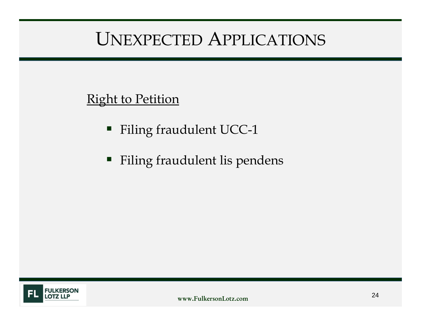# UNEXPECTED APPLICATIONS

### Right to Petition

- Filing fraudulent UCC-1
- Filing fraudulent lis pendens

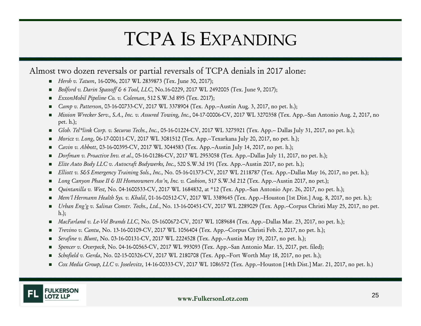# TCPA IS EXPANDING

#### Almost two dozen reversals or partial reversals of TCPA denials in <sup>2017</sup> alone:

- *Hersh v. Tatum*, 16-0096, <sup>2017</sup> WL <sup>2839873</sup> (Tex. June 30, 2017);
- *Bedford v. Darin Spassoff & <sup>6</sup> Tool, LLC*, No.16-0229, <sup>2017</sup> WL <sup>2492005</sup> (Tex. June 9, 2017);
- *ExxonMobil Pipeline Co. v. Coleman*, <sup>512</sup> S.W.3d <sup>895</sup> (Tex. 2017);
- *Camp v. Patterson*, 03-16-00733-CV, <sup>2017</sup> WL <sup>3378904</sup> (Tex. App.--Austin Aug. 3, 2017, no pet. h.);
- Mission Wrecker Serv., S.A., Inc. v. Assured Towing, Inc., 04-17-00006-CV, 2017 WL 3270358 (Tex. App.--San Antonio Aug. 2, 2017, no pet. h.);
- п *Glob. Tel\*link Corp. v. Securus Techs., Inc.*, 05-16-01224-CV, <sup>2017</sup> WL <sup>3275921</sup> (Tex. App.-- Dallas July 31, 2017, no pet. h.);
- *Moricz v. Long*, 06-17-00011-CV, <sup>2017</sup> WL <sup>3081512</sup> (Tex. App.--Texarkana July 20, 2017, no pet. h.);
- п *Cavin v. Abbott*, 03-16-00395-CV, <sup>2017</sup> WL <sup>3044583</sup> (Tex. App.--Austin July 14, 2017, no pet. h.);
- п *Dorfman v. Proactive Inv. et al.,* 05-16-01286-CV, <sup>2017</sup> WL <sup>2953058</sup> (Tex. App.--Dallas July 11, 2017, no pet. h.);
- . *Elite Auto Body LLC v. Autocraft Bodywerks, Inc.,* <sup>520</sup> S.W.3d <sup>191</sup> (Tex. App.--Austin 2017, no pet. h.);
- п *Elliott v. S&S Emergency Training Sols., Inc.,* No. 05-16-01373-CV, <sup>2017</sup> WL <sup>2118787</sup> (Tex. App.--Dallas May 16, 2017, no pet. h.);
- Long Canyon Phase II & III Homeowners Ass'n, Inc. v. Cashion, 517 S.W.3d 212 (Tex. App.-Austin 2017, no pet.);
- *Quintanilla v. West,* No. 04-1600533-CV, <sup>2017</sup> WL 1684832, at \*12 (Tex. App.--San Antonio Apr. 26, 2017, no pet. h.);
- *Mem'l Hermann Health Sys. v. Khalil*, 01-16-00512-CV, <sup>2017</sup> WL <sup>3389645</sup> (Tex. App.--Houston [1st Dist.] Aug. 8, 2017, no pet. h.);
- *Urban Eng'g v. Salinas Constr. Techs., Ltd.*, No. 13-16-00451-CV, <sup>2017</sup> WL <sup>2289029</sup> (Tex. App.--Corpus Christi May 25, 2017, no pet. h.);
- *MacFarland v. Le-Vel Brands LLC*, No. 05-1600672-CV, <sup>2017</sup> WL <sup>1089684</sup> (Tex. App.--Dallas Mar. 23, 2017, no pet. h.);
- *Trevino v. Cantu*, No. 13-16-00109-CV, <sup>2017</sup> WL <sup>1056404</sup> (Tex. App.--Corpus Christi Feb. 2, 2017, no pet. h.);
- *Serafine v. Blunt*, No. 03-16-00131-CV, <sup>2017</sup> WL <sup>2224528</sup> (Tex. App.--Austin May 19, 2017, no pet. h.);
- *Spencer v. Overpeck*, No. 04-16-00565-CV, <sup>2017</sup> WL <sup>993093</sup> (Tex. App.--San Antonio Mar. 15, 2017, pet. filed);
- *Schofield v. Gerda*, No. 02-15-00326-CV, <sup>2017</sup> WL <sup>2180708</sup> (Tex. App.--Fort Worth May 18, 2017, no pet. h.);
- *Cox Media Group, LLC v. Joselevitz*, 14-16-00333-CV, <sup>2017</sup> WL <sup>1086572</sup> (Tex. App.--Houston [14th Dist.] Mar. 21, 2017, no pet. h.)

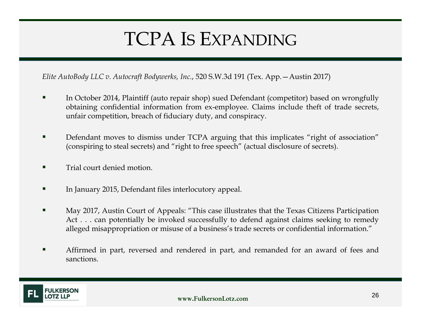# TCPA IS EXPANDING

*Elite AutoBody LLC v. Autocraft Bodywerks, Inc.*, 520 S.W.3d 191 (Tex. App.—Austin 2017)

- г In October 2014, Plaintiff (auto repair shop) sued Defendant (competitor) based on wrongfully obtaining confidential information from ex-employee. Claims include theft of trade secrets, unfair competition, breach of fiduciary duty, and conspiracy.
- $\blacksquare$  Defendant moves to dismiss under TCPA arguing that this implicates "right of association" (conspiring to steal secrets) and "right to free speech" (actual disclosure of secrets).
- ш Trial court denied motion.
- г In January 2015, Defendant files interlocutory appeal.
- ш May 2017, Austin Court of Appeals: "This case illustrates that the Texas Citizens Participation Act . . . can potentially be invoked successfully to defend against claims seeking to remedy alleged misappropriation or misuse of <sup>a</sup> business's trade secrets or confidential information."
- ш Affirmed in part, reversed and rendered in part, and remanded for an award of fees and sanctions.

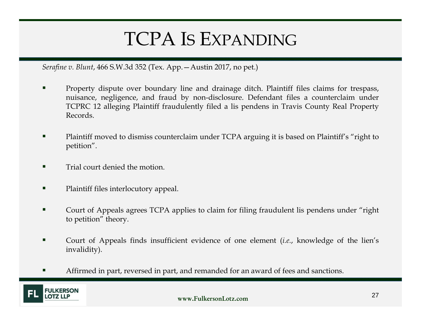# TCPA IS EXPANDING

*Serafine v. Blunt*, 466 S.W.3d 352 (Tex. App.—Austin 2017, no pet.)

- п Property dispute over boundary line and drainage ditch. Plaintiff files claims for trespass, nuisance, negligence, and fraud by non-disclosure. Defendant files <sup>a</sup> counterclaim under TCPRC <sup>12</sup> alleging Plaintiff fraudulently filed <sup>a</sup> lis pendens in Travis County Real Property Records.
- г Plaintiff moved to dismiss counterclaim under TCPA arguing it is based on Plaintiff's "right to petition".
- г Trial court denied the motion.
- п Plaintiff files interlocutory appeal.
- г Court of Appeals agrees TCPA applies to claim for filing fraudulent lis pendens under "right to petition" theory.
- ш Court of Appeals finds insufficient evidence of one element (*i.e.*, knowledge of the lien's invalidity).
- г Affirmed in part, reversed in part, and remanded for an award of fees and sanctions.

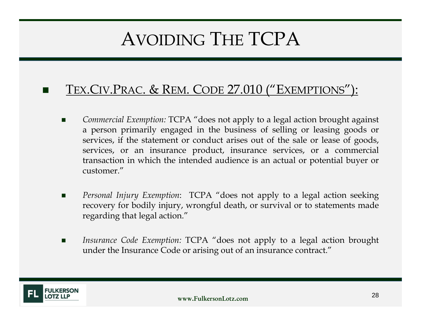# AVOIDING THE TCPA

#### × TEX.CIV.PRAC. & REM. CODE 27.010 ("EXEMPTIONS"):

- П *Commercial Exemption:* TCPA "does not apply to <sup>a</sup> legal action brought against <sup>a</sup> person primarily engaged in the business of selling or leasing goods or services, if the statement or conduct arises out of the sale or lease of goods, services, or an insurance product, insurance services, or <sup>a</sup> commercial transaction in which the intended audience is an actual or potential buyer or customer."
- $\blacksquare$  *Personal Injury Exemption*: TCPA "does not apply to <sup>a</sup> legal action seeking recovery for bodily injury, wrongful death, or survival or to statements made regarding that legal action."
- П *Insurance Code Exemption:* TCPA "does not apply to <sup>a</sup> legal action brought under the Insurance Code or arising out of an insurance contract."

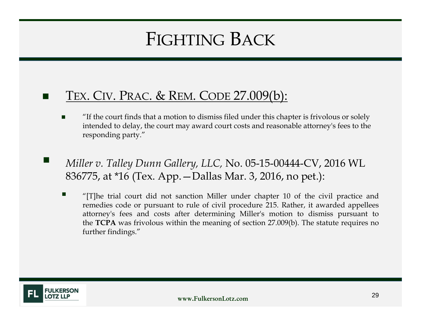# FIGHTING BACK

#### × TEX. CIV. PRAC. & REM. CODE 27.009(b):

- Г "If the court finds that a motion to dismiss filed under this chapter is frivolous or solely intended to delay, the court may award court costs and reasonable attorney's fees to the responding party."
- *Miller v. Talley Dunn Gallery, LLC,* No. 05-15-00444-CV, 2016 WL 836775, at \*16 (Tex. App.—Dallas Mar. 3, 2016, no pet.):
	- "[T]he trial court did not sanction Miller under chapter 10 of the civil practice and remedies code or pursuan<sup>t</sup> to rule of civil procedure 215. Rather, it awarded appellees attorney's fees and costs after determining Miller's motion to dismiss pursuan<sup>t</sup> to the **TCPA** was frivolous within the meaning of section 27.009(b). The statute requires no further findings."

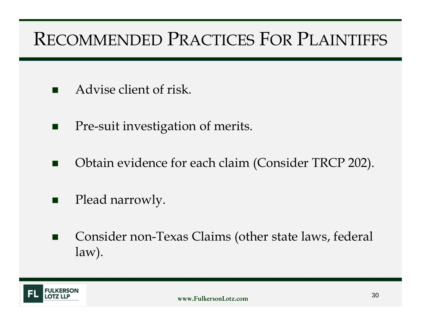# RECOMMENDED PRACTICES FOR PLAINTIFFS

- $\blacksquare$ Advise client of risk.
- $\mathcal{L}_{\mathcal{A}}$ Pre-suit investigation of merits.
- $\blacksquare$ Obtain evidence for each claim (Consider TRCP 202).
- $\blacksquare$ Plead narrowly.
- $\blacksquare$  Consider non-Texas Claims (other state laws, federal law).

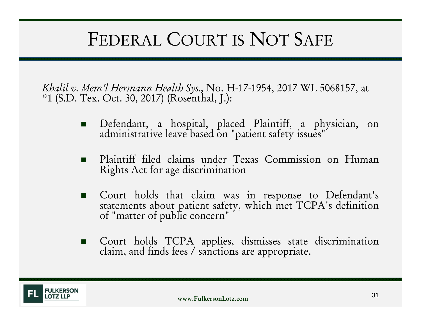# FEDERAL COURT IS NOT SAFE

*Khalil v. Mem'l Hermann Health Sys.,* No. H-17-1954, 2017 WL 5068157, at \*1 (S.D. Tex. Oct. 30, 2017) (Rosenthal, J.):

- Defendant, <sup>a</sup> hospital, <sup>p</sup>laced Plaintiff, <sup>a</sup> <sup>p</sup>hysician, on administrative leave based on "patient safety issues"
- Plaintiff filed claims under Texas Commission on Human Rights Act for age discrimination
- Court holds that claim was in response to Defendant's statements about patient safety, which met TCPA's definition of "matter of public concern"
- Court holds TCPA applies, dismisses state discrimination claim, and finds fees / sanctions are appropriate.

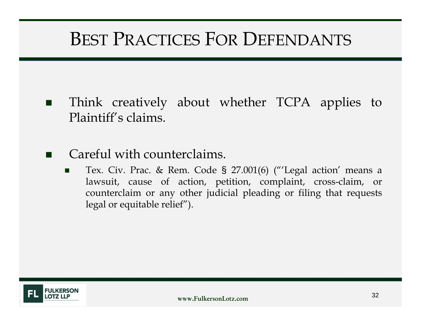## BEST PRACTICES FOR DEFENDANTS

- **Contract**  Think creatively about whether TCPA applies to Plaintiff's claims.
- $\blacksquare$  Careful with counterclaims.
	- п Tex. Civ. Prac. & Rem. Code § 27.001(6) ("'Legal action' means <sup>a</sup> lawsuit, cause of action, petition, complaint, cross-claim, or counterclaim or any other judicial pleading or filing that requests legal or equitable relief").

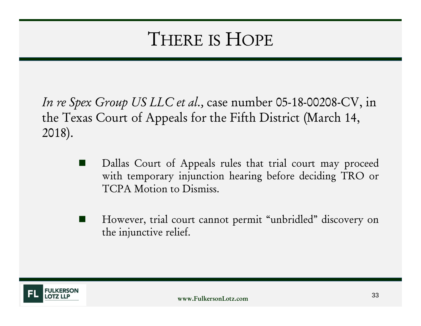# THERE IS HOPE

*In re Spex Group US LLC et al.,* case number 05-18-00208-CV, in the Texas Court of Appeals for the Fifth District (March 14, 2018).

- H. Dallas Court of Appeals rules that trial court may proceed with temporary injunction hearing before deciding TRO or TCPA Motion to Dismiss.
- However, trial court cannot permit "unbridled" discovery on the injunctive relief.

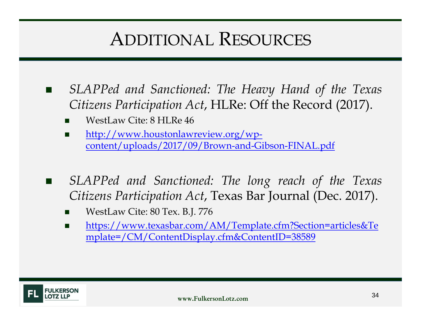## ADDITIONAL RESOURCES

- $\mathbf{r}$  *SLAPPed and Sanctioned: The Heavy Hand of the Texas Citizens Participation Act*, HLRe: Off the Record (2017).
	- П WestLaw Cite: 8 HLRe 46
	- П http://www.houstonlawreview.org/wpcontent/uploads/2017/09/Brown-and-Gibson-FINAL.pdf
- × *SLAPPed and Sanctioned: The long reach of the Texas Citizens Participation Act*, Texas Bar Journal (Dec. 2017).
	- П WestLaw Cite: 80 Tex. B.J. 776
	- $\mathbf{r}$  https://www.texasbar.com/AM/Template.cfm?Section=articles&Te mplate=/CM/ContentDisplay.cfm&ContentID=38589